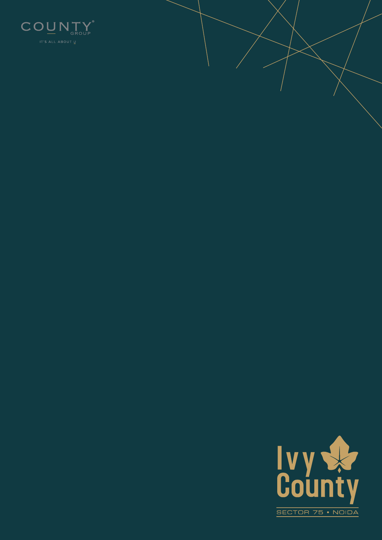

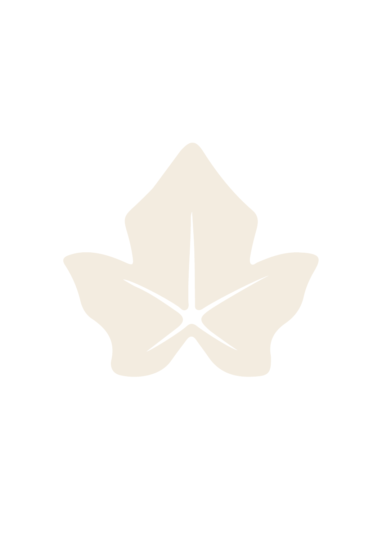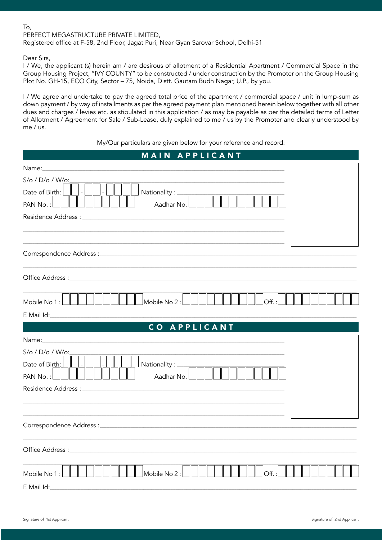### To,

PERFECT MEGASTRUCTURE PRIVATE LIMITED,

Registered office at F-58, 2nd Floor, Jagat Puri, Near Gyan Sarovar School, Delhi-51

Dear Sirs.

I / We, the applicant (s) herein am / are desirous of allotment of a Residential Apartment / Commercial Space in the Group Housing Project, "IVY COUNTY" to be constructed / under construction by the Promoter on the Group Housing Plot No. GH-15, ECO City, Sector - 75, Noida, Distt. Gautam Budh Nagar, U.P., by you.

I / We agree and undertake to pay the agreed total price of the apartment / commercial space / unit in lump-sum as down payment / by way of installments as per the agreed payment plan mentioned herein below together with all other dues and charges / levies etc. as stipulated in this application / as may be payable as per the detailed terms of Letter of Allotment / Agreement for Sale / Sub-Lease, duly explained to me / us by the Promoter and clearly understood by  $me$  / us.

My/Our particulars are given below for your reference and record:

| MAIN APPLICANT                                                                                           |
|----------------------------------------------------------------------------------------------------------|
| Name:                                                                                                    |
| S/o / D/o / W/o:                                                                                         |
| Date of Birth:<br>Nationality:                                                                           |
| PAN No.:<br>Aadhar No.                                                                                   |
| Residence Address : _<br>the contract of the contract of the contract of the contract of the contract of |
|                                                                                                          |
|                                                                                                          |
| Office Address :                                                                                         |
| Mobile No 2 :<br>Mobile No 1:<br>Off.                                                                    |
| $E$ Mail Id:                                                                                             |
| CO APPLICANT                                                                                             |
| Name:                                                                                                    |
| S/o / D/o / W/o:                                                                                         |
| Date of Birth:<br>Nationality : __                                                                       |
| PAN No.:<br>Aadhar No.                                                                                   |
| Residence Address :                                                                                      |
|                                                                                                          |
|                                                                                                          |
| Office Address :                                                                                         |
| Off.<br>Mobile No 1<br>Mobile No 2                                                                       |
| E Mail Id:                                                                                               |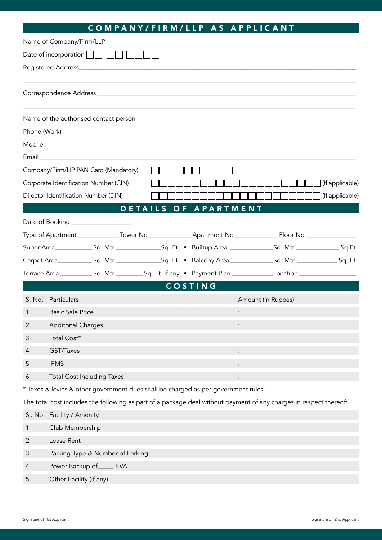## COMPANY/FIRM/LLP AS APPLICANT

|                                                                                  | Date of incorporation $\boxed{\Box}$ - $\boxed{\Box}$ - $\boxed{\Box}$ |  |                |  |                                                                                                                               |                    |  |                 |
|----------------------------------------------------------------------------------|------------------------------------------------------------------------|--|----------------|--|-------------------------------------------------------------------------------------------------------------------------------|--------------------|--|-----------------|
|                                                                                  |                                                                        |  |                |  |                                                                                                                               |                    |  |                 |
|                                                                                  |                                                                        |  |                |  |                                                                                                                               |                    |  |                 |
|                                                                                  |                                                                        |  |                |  |                                                                                                                               |                    |  |                 |
|                                                                                  |                                                                        |  |                |  |                                                                                                                               |                    |  |                 |
|                                                                                  |                                                                        |  |                |  |                                                                                                                               |                    |  |                 |
|                                                                                  |                                                                        |  |                |  |                                                                                                                               |                    |  |                 |
|                                                                                  | Company/Firm/LIP PAN Card (Mandatory)                                  |  |                |  |                                                                                                                               |                    |  |                 |
| Corporate Identification Number (CIN)<br>$\parallel$ $\parallel$ (If applicable) |                                                                        |  |                |  |                                                                                                                               |                    |  |                 |
|                                                                                  | Director Identification Number (DIN)                                   |  |                |  |                                                                                                                               |                    |  | (If applicable) |
|                                                                                  | <u> 1989 - Johann Stein, mars an t-Amerikaansk kommunister (</u>       |  | <b>DETAILS</b> |  | OF APARTMENT                                                                                                                  |                    |  |                 |
|                                                                                  | Date of Booking ____________________                                   |  |                |  |                                                                                                                               |                    |  |                 |
|                                                                                  |                                                                        |  |                |  |                                                                                                                               |                    |  |                 |
|                                                                                  |                                                                        |  |                |  | Super Area _______________Sq. Mtr. ___________________Sq. Ft. • Builtup Area ________________Sq. Mtr __________________Sq.Ft. |                    |  |                 |
|                                                                                  |                                                                        |  |                |  | Carpet Area ______________Sq. Mtr. __________________Sq. Ft. • Balcony Area ________________Sq. Mtr. ________________Sq. Ft.  |                    |  |                 |
|                                                                                  |                                                                        |  |                |  | Terrace Area _____________Sq. Mtr. ___________Sq. Ft. if any • Payment Plan __________________________________                |                    |  |                 |
|                                                                                  |                                                                        |  |                |  | <b>COSTING</b>                                                                                                                |                    |  |                 |
|                                                                                  | S. No. Particulars                                                     |  |                |  |                                                                                                                               | Amount (in Rupees) |  |                 |
| $\mathbf{1}$                                                                     | <b>Basic Sale Price</b>                                                |  |                |  |                                                                                                                               | $\ddot{\cdot}$     |  |                 |
|                                                                                  | 2 Additonal Charges                                                    |  |                |  |                                                                                                                               |                    |  |                 |
| 3                                                                                | Total Cost*                                                            |  |                |  |                                                                                                                               |                    |  |                 |
| 4                                                                                | GST/Taxes                                                              |  |                |  |                                                                                                                               | $\ddot{\cdot}$     |  |                 |
| 5                                                                                | <b>IFMS</b>                                                            |  |                |  |                                                                                                                               |                    |  |                 |
| 6                                                                                | <b>Total Cost Including Taxes</b>                                      |  |                |  |                                                                                                                               | $\vdots$           |  |                 |
|                                                                                  |                                                                        |  |                |  | * Taxes & levies & other government dues shall be charged as per government rules.                                            |                    |  |                 |
|                                                                                  |                                                                        |  |                |  | The total cost includes the following as part of a package deal without payment of any charges in respect thereof:            |                    |  |                 |
|                                                                                  | Sl. No. Facility / Amenity                                             |  |                |  |                                                                                                                               |                    |  |                 |
| 1                                                                                | Club Membership                                                        |  |                |  |                                                                                                                               |                    |  |                 |
| 2                                                                                | Lease Rent                                                             |  |                |  |                                                                                                                               |                    |  |                 |

- $\overline{3}$ Parking Type & Number of Parking
- $\overline{4}$ Power Backup of\_\_\_\_\_ KVA
- $5\phantom{a}$ Other Facility (if any)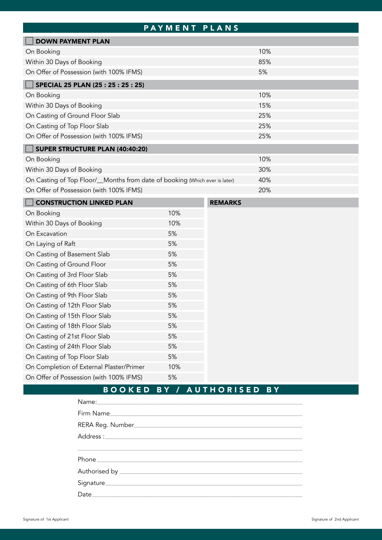# PAYMENT PLANS

| <b>DOWN PAYMENT PLAN</b>                                                   |     |  |
|----------------------------------------------------------------------------|-----|--|
| On Booking                                                                 | 10% |  |
| Within 30 Days of Booking                                                  | 85% |  |
| On Offer of Possession (with 100% IFMS)                                    | 5%  |  |
| <b>SPECIAL 25 PLAN (25 : 25 : 25 : 25)</b>                                 |     |  |
| On Booking                                                                 | 10% |  |
| Within 30 Days of Booking                                                  | 15% |  |
| On Casting of Ground Floor Slab                                            | 25% |  |
| On Casting of Top Floor Slab                                               | 25% |  |
| On Offer of Possession (with 100% IFMS)                                    | 25% |  |
| SUPER STRUCTURE PLAN (40:40:20)                                            |     |  |
| On Booking                                                                 | 10% |  |
| Within 30 Days of Booking                                                  | 30% |  |
| On Casting of Top Floor/_Months from date of booking (Which ever is later) | 40% |  |
| On Offer of Possession (with 100% IFMS)                                    | 20% |  |

| <b>CONSTRUCTION LINKED PLAN</b>          |     | <b>REMARKS</b>                             |
|------------------------------------------|-----|--------------------------------------------|
| On Booking                               | 10% |                                            |
| Within 30 Days of Booking                | 10% |                                            |
| On Excavation                            | 5%  |                                            |
| On Laying of Raft                        | 5%  |                                            |
| On Casting of Basement Slab              | 5%  |                                            |
| On Casting of Ground Floor               | 5%  |                                            |
| On Casting of 3rd Floor Slab             | 5%  |                                            |
| On Casting of 6th Floor Slab             | 5%  |                                            |
| On Casting of 9th Floor Slab             | 5%  |                                            |
| On Casting of 12th Floor Slab            | 5%  |                                            |
| On Casting of 15th Floor Slab            | 5%  |                                            |
| On Casting of 18th Floor Slab            | 5%  |                                            |
| On Casting of 21st Floor Slab            | 5%  |                                            |
| On Casting of 24th Floor Slab            | 5%  |                                            |
| On Casting of Top Floor Slab             | 5%  |                                            |
| On Completion of External Plaster/Primer | 10% |                                            |
| On Offer of Possession (with 100% IFMS)  | 5%  |                                            |
|                                          |     | <b>BOOKED BY / AUTHORISED</b><br><b>BY</b> |

| Firm Name |  |
|-----------|--|
|           |  |
|           |  |
|           |  |
|           |  |
|           |  |
|           |  |
|           |  |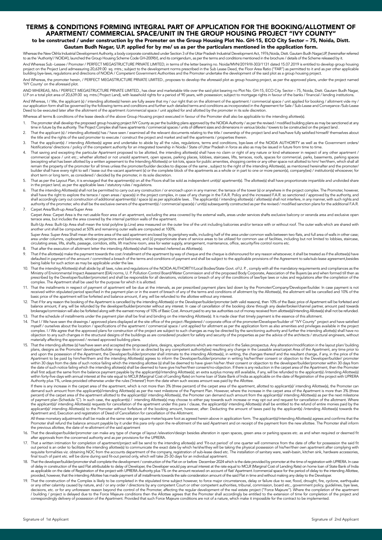#### TERMS & CONDITIONS FORMING INTEGRAL PART OF APPLICATION FOR THE BOOKING/ALLOTMENT OF APARTMENT/ COMMERCIAL SPACE/UNIT IN THE GROUP HOUSING PROJECT "IVY COUNTY" to be constructed / under construction by the Promoter on the Group Housing Plot No. GH-15, ECO City Sector – 75, Noida, Distt.

#### Gautam Budh Nagar, U.P. applied for by me/ us as per the particulars mentioned in the application form.

Whereas the New Okhla Industrial Development Authority, a body corporate constituted under Section 3 of the Uttar Pradesh Industrial Development Act, 1976, Noida, Distt. Gautam Budh Nagar, UP, (hereinafter referred to as the 'Authority'/ NOIDA'), launched the Group Housing Scheme Code GH-2009(V), and its corrigendum, as per the terms and conditions mentioned in the brochure / details of the Scheme released by it.

And Whereas Sub -Lessee / Promoter / PERFECT MEGASTRUCTURE PRIVATE LIMITED, in terms of the letter bearing no. Noida/MVN/2019/III-303/1131 dated 15.07.2019 is entitled to develop group housing<br>project on the Project Land a building bye-laws, regulations and directions of NOIDA / Competent Government Authorities and the Promoter undertake the development of the said plot as a group housing project.

And Whereas, the promoter herein, / PERFECT MEGASTRUCTURE PRIVATE LIMITED., proposes to develop the aforesaid plot as group housing project, as per the approved plans, under the project named 'IVY County' on the aforesaid plot.

AND WHEREAS, M/s / PERFECT MEGASTRUCTURE PRIVATE LIMITED., has clear and marketable title over the said plot bearing no Plot No. GH-15, ECO City. Sector – 75, Noida, Distt. Gautam Budh Nagar, U.P on a total plot area of 20,639.00 sq. mtrs.( Project Land), with leasehold rights for a period of 90 years, with possession; subject to mortgage rights in favour of the banks / financial / lending institutions.

And Whereas, I / We, the applicant (s) / intending allottee(s) herein are fully aware that my / our right that on the allotment of the apartment / commercial space / unit applied for booking / allotment vide my /<br>our appli

Whereas all terms & conditions of the lease deeds of the above Group Housing project executed in favour of the Promoter shall also be applicable to the intending allottee(s).

- 1. The promoter shall develop the proposed group housing project IVY County as per the building plans approved by the NOIDA Authority / as per the revised / modified building plans as may be sanctioned at any<br>1. time in fu
- That the applicant (s) / intending allottee(s) has / have seen / examined all the relevant documents relating to the title / ownership of the project land and has/have fully satisfied himself/ themselves about the title and the rights of the said promoter to execute / construct the project and market and sell the apartments / properties therein.
- 3. That the applicant(s) / intending Allottee(s) agree and undertake to abide by all the rules, regulations, terms and conditions, bye-laws of the NOIDA AUTHORITY as well as the Government orders/<br>Notifications/ directions
- 4. That saving and excepting the particular Apartment proposed to be allotted, the intending allottee(s) shall have no claim or right of any nature or kind whatsoever in respect of any other apartment / commercial space / unit etc.; whether allotted or not unsold apartment, open spaces, paking places, lobbies, staircases, lifts, terraces, roofs, spaces for commercial, parks, basements, parking spaces<br>(excepting what has b builder shall have every right to sell / lease out the vacant apartment (s) or the complete block of the apartments as a whole or in part to one or more person(s), company(ies) / institution(s) whosoever, for short term or long term, as considered / decided by the promoter, in its sole discretion.
- 5. That as per the Layout Plan, it is envisaged that the apartment(s) on all the Floors shall be sold as independent unit(s)/ apartment(s). The allottee(s) shall have proportionate impartible and undivided share in the project land, as per the applicable laws / statutory rules / regulations.
- 6. That the intending Allottee(s) shall not be permitted to carry out any construction / or encroach upon in any manner; the terrace of the tower (s) or anywhere in the project complex. The Promoter, however,<br>shall have th shall accordingly carry out construction of additional apartment(s) / space (s) as per applicable laws. . The applicant(s) / intending allottee(s) / allottee(s) shall not interfere, in any manner, with such rights and authority of the promoter, who shall be the exclusive owners of the apartment(s) / commercial space(s) / unit(s) subsequently constructed as per the revised / modified sanction plans for the additional F.A.R. 7. Carpet Area/Built-up Area/Super Area
- Carpet Area: Carpet Area is the net usable floor area of an apartment, excluding the area covered by the external walls, areas under services shafts exclusive balcony or veranda area and exclusive open terrace area, but includes the area covered by the internal partition walls of the apartment.

Built-Up Area: Built-Up Area shall mean the total polyline (p.Line) area measured on the outer line of the unit including balconies and/or terrace with or without roof. The outer walls which are shared with<br>another unit sh

Super Area: Super Area Shall mean the entire area of the said apartment enclosed by its periphery walls, including half of the area under common walls between two flats, and full area of walls in other case; area under columns, cupboards, window projections and balconies; and (ii) proportionate share of service areas to be utilized for common use of facilities, including but not limited to lobbies, staircase,<br>circulating areas

- 8. That after the execution of allotment letter the intending Allottee(s) shall be treated /referred as Allottee(s).
- 9. That if the allottee(s) make the payment towards the cost /installment of the apartment by way of cheque and the cheque is dishonoured for any reason whatsoever, it shall be treated as if the allottee(s) have<br>defaulted
- 10. That the intending Allottee(s) shall abide by all laws, rules and regulations of the NOIDA AUTHORITY/Local Bodies/State Govt. of U. P. , comply with all the mandatory requirements and compliances as the Ministry of Environmental Impact Assessment (EIA) norms, U. P. Pollution Control Board/Water Commission and of the proposed Body Corporate, Association of the Buyers (as and when formed till then as<br>prescribed by the Devel complex. The Apartment shall be used for the purpose for which it is allotted.
- 11. That the installments in respect of payment of apartment will be due at the intervals, as per prescribed payment plans laid down by the Promoter/Company/Developer/builder. In case payment is not protor is the threath o basic price of the apartment will be forfeited and balance amount, if any, will be refunded to the allottee without any interest.
- 12. That if for any reason the booking of the Apartment is cancelled by the intending Allottee(s) or the Developer/builder/promoter (with valid reasons), then 10% of the Basic price of Apartment will be forfeited and<br>balan brokerage/commission will also be forfeited along with the earnest money of 10% of Basic Cost. Amount paid to any tax authorities out of money received from allottee(s)/intending Allotee(s) shall not be refunded.
- 13. That the schedule of installments under the payment plan shall be final and binding on the intending Allottee(s). It is made clear that timely payment is the essence of this allotment 14. That I / We have seen the drawings / approved plans displayed at the site office of the project /Registered / corporate office of the promoter/Developer/builder of "IVY County" project and have satisfied myself / ourse materially affecting the approved / revised approved building plans.
- 15. That the intending allottee (s) has/have seen and accepted the proposed plans, designs, specifications which are mentioned in the Sales prospectus. Any alteration/modification in the layout plan/ building plans, designs as the Promoter/ developer/builder may deem fit or as directed by any competent authority(ies) resulting any change in the Leasable area/carpet Area of the Apartment, any time prior to and upon the possession of the Apartment, the Developer/builder/promoter shall intimate to the intending Allottee(s), in writing, the changes thereof and the resultant change, if any, in the price of the<br>Apartment to be pa within 30 days from the date of such notice failing which the intending allottee (s) shall be deemed to have given his/her /their consent or objection to the developer/builder/promoter within 30 days from<br>the date of such Authority plus 1%, unless provided otherwise under the rules ('Interest') from the date when such excess amount was paid by the Allottee.

If there is any increase in the carpet area of the apartment, which is not more than 3% (three percent) of the carpet area of the apartment, allotted to applicant(s)/ intending Allottee(s), the Promoter can<br>demand such amo the applicant(s)/ intending Allottee(s) requests for cancellation of the apartment under this para / clause, the applicant(s)/ intending Allottee(s) shall be entitled to the refund of entire monies paid by the<br>applicant(s)

All these monetary adjustments shall be made at the same rate per square meter/square foot as agreed herein above in application form. The applicant(s)/intending Allottee(s) agrees and confirms that the<br>Promoter shall refu the previous allottee, the date of re-allotment of the said apartment

- 16. That the developer/builder/promoter can make any type of change of layout /elevation/design besides alteration in open spaces, green area or parking spaces etc. as and when required or deemed fit<br>after approvals from t
- 17. That a written intimation for completion of apartment/project will be send to the intending allotee(s) and 'Fit-out period' of one quarter will commence from the date of offer for possession the said fit out period is an order to facilitate the intending allottee(s) to communicate the exact date by which he/she/they will be taking the physical possession of his/her/their own apartment after complying with<br>requisite formali
- 18. That the developer/builder/promoter shall complete the development / construction of the Flat on or before December 2024 which is the date provided by promoter at the time of registration with UPRERA. In case of delay in construction of the said Flat attributable to delay of Developer, the Developer would pay annual interest at the rate equal to MCLR (Marginal Cost of Lending Rate) on home loan of State Bank of India<br>as applica
- 19. That the construction of the Complex is likely to be completed in the stipulated time subject however, to force major circumstances, delay or failure due to war, flood, drought, fire, cyclone, earthquake or any other calamity caused by nature, and / or any order / directions by any competent Court or other competent authorities, tribunal, commission, board etc., government policy, guidelines, bye laws,<br>decisions, etc. or f / building / project is delayed due to the Force Majeure conditions then the Allottee agrees that the Promoter shall accordingly be entitled to the extension of time for completion of the project and<br>correspondingly delive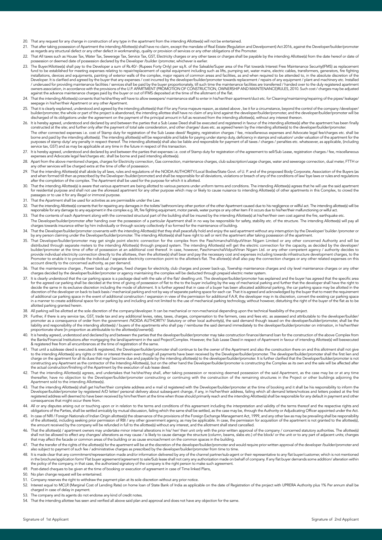- 20. That any request for any change in construction of any type in the apartment from the intending Allottee(s) will not be entertained.
- 21. That after taking possession of Apartment the intending Allottee(s) shall have no claim, except the mandate of Real Estate (Regulation and Develpoment) Act 2016, against the Developer/builder/promoter as regards any structural defect or any other defect in workmanship, quality or provision of services or any other obligations of the Promoter
- 22. That All taxes such as House Tax, Water Tax, Sewerage Tax, Service Tax, GST, Electricity charges or any other taxes or charges shall be payable by the intending Allottee(s) from the date hereof or date of possession or deemed date of possession declared by the Developer /builder /promoter, whichever is earlier.
- 23. The Buyer/Allottee(s) shall pay to the Developer a sum of Rs.40/- (Rupees Forty Only) per sq.ft. of the Saleable/Super area of the Flat towards Interest Free Maintenance Security(IFMS) as replacement of Rs.40/- (Rupees installations, devices and equipments, painting of exterior walls of the complex, major repairs of common areas and facilities, as and when required to be attended to, in the absolute discretion of the Developer. It is clarified and agreed by the buyer that any expenses / cost incurred by the developer/builder/promoter towards replacement / repairs of any equipment / plant and machinery etc. Installed<br>/ underused for pro against the advance maintenance charges paid by the buyer or out of IFMS deposited at the time of the allotment of the flat.
- 24. That the intending Allottee(s) consents that he/she/they will have to allow sweepers/ maintenance staff to enter in his/her/their apartment/duct etc. for Cleaning/maintaining/repairing of the pipes/ leakage/ seepage in his/her/their Apartment or any other Apartment.
- %25. That it is clearly explained, understood and agreed by the intending allottee(s) that if for any Force majeure reason, as stated above , be it for a circumstance, beyond the control of the company /developer/<br>builder/
- 26. It is hereby agreed, understood and declared by and between the parties that a Sub Lease Deed shall be executed and registered in favour of the intending allottee(s) after the apartment has been finally constructed at the site; and further only after the payment of total sale consideration, and other charges/ dues etc. as agreed herein by the intending allottee(s) to the developer/builder/promoter. The other connected expenses i.e. cost of Stamp duty for registration of the Sub Lease deed/ Registry, registration charges / fee, miscellaneous expenses and Advocate legal fee/charges etc. shall be
- borne and paid by the intending allottee(s). The intending allottee(s) will be responsible and liable for paying under stamp duty, deficiency in stamps and valuation/ under valuation of the apartment for the<br>purposes of st 27. It is hereby agreed, understood and declared by and between the parties that expenses i.e. cost of Stamp duty for registration of the agreement to sell/Sub Lease, registration charges / fee, miscellaneous
- expenses and Advocate legal fee/charges etc. shall be borne and paid intending allottee(s).
- 28. Apart from the above mentioned charges, charges for Electricity connection, Gas connection, maintenance charges, club subscription/usage charges, water and sewerage connection, dual meter, FTTH or any other services will be charged extra at the time of offer of possession.
- 29. That the intending Allottee(s) shall abide by all laws, rules and regulations of the NOIDA AUTHORITY/Local Bodies/State Govt. of U. P. and of the proposed Body Corporate, Association of the Buyers (as and when formed till then as prescribed by the Developer /builder/promoter) and shall be responsible for all deviations, violations or breach of any of the conditions of law/ bye laws or rules and regulations<br>after the com
- 30. That the intending Allottee(s) is aware that various apartment are being allotted to various persons under uniform terms and conditions. The intending Allottee(s) agrees that he will use the said apartment for residential purpose and shall not use the aforesaid apartment for any other purpose which may or likely to cause nuisance to intending Allottee(s) of other apartments in this Complex, to crowd the passages or to use it for any illegal or immoral purpose.
- 31. That the Apartment shall be used for activities as are permissible under the Law.
- 32. That the intending Allottee(s) consents that for repairing any damages in the toilets/ bathroom/any other portion of the other Apartment caused due to his negligence or willful act. The intending allottee(s) will be<br>re
- 33. That the contents of each Apartment along with the connected structural part of the building shall be insured by the intending Allottee(s) at his/her/their own cost against the fire, earthquake etc. The Developer/builder/promoter after handing over the possession of a particular Apartment shall in no way be responsible for safety, stability etc. of the structure. The intending Allottee(s) will pay all charges towards insurance either by him individually or through society collectively if so formed for the maintenance of building.
- 34. That the Developer/builder/promoter covenants with the intending Allottee(s) that they shall peacefully hold and enjoy the said apartment without any interruption by the Developer/ builder /promoter or by any person claiming under the Developer/builder/promoter. The intending Allottee(s) shall have right to sell or rent the apartment after taking possession of the apartment.
- 35. That Developer/builder/promoter may get single point electric connection for the complex from the PaschimanchalVidyutVitran Nigam Limited or any other concerned Authority and will be distributed through separate meters to the intending Allottee(s) through prepaid system. The intending Allottee(s) will get the electric connection for the capacity, as decided by the developer/<br>builder/promoter at the tim provide individual electricity connection directly to the allottees, then the allottee(s) shall bear and pay the necessary cost and expenses including towards infrastructure development charges, to the<br>Promoter to enable i account directly to the concerned authority, as per demand.
- 36. That the maintenance charges , Power back up charges, fixed charges for electricity, club charges and power back-up, Township maintenance charges and city level maintenance charges or any other charges decided by the developer/builder/promoter or agency maintaining the complex will be deducted through prepaid electric meter system.
- 37. It is clearly understood that the car parking space is a package deal with the sale of the flat/ dwelling unit. The developer/builder/promoter has explained and the buyer has agreed that the specific area for the agree decide the same in its exclusive discretion including the mode of allotment. It is further agreed that in case of a buyer has been allocated additional parking, the car parking space may be allotted in the<br>discretion of th of additional car parking space in the event of additional construction / expansion in view of the permission for additional F.A.R, the developer may in its discretion, convert the existing car parking space in a manner to create additional space for car parking by and including and not limited to the use of mechanical parking technology, without however, disturbing the right of the buyer of the flat as to be allotted parking granted herein.
- 38. All parking will be allotted at the sole discretion of the company/developer. It can be mechanical or non-mechanical depending upon the technical feasibility of the project.
- 39. Further, if there is any service tax, GST, trade tax and any additional levies, rates, taxes, charges, compensation to the farmers, cess and fees etc. as assessed and attributable to the developer/builder/<br>promoter as proportionate share [in proportion as attributable to the allottee(s)/owner(s)].
- 40. It is hereby agreed, understood and declared by and between the parties that the developer/builder/promoter may take construction finance/demand loan for the construction of the above Complex from the Banks/Financial Institutions after mortgaging the land/apartment in the said Project/Complex. However, the Sub Lease Deed in respect of Apartment in favour of intending Allottee(s) will beexecuted<br>& registered free fro
- 41. That until a sublease deed is executed & registered, the Developer/builder/promoter shall continue to be the owner of the Apartment and also the construction there on and this allotment shall not give to the intending Allottee(s) any rights or title or interest therein even though all payments have been received by the Developer/builder/promoter. The developer/builder/promoter shall the first lien and<br>charge on the apar constructing any Apartment as the contractor of the Intending Allottee(s), but on the other hand the Developer/builder/promoter is constructing the Complex as its own and the sale will be affected after the actual construction/finishing of the Apartment by the execution of sub lease deed.
- 42. That the intending Allottee(s) agrees, and undertakes that he/she/they shall, after taking possession or receiving deemed possession of the said Apartment, as the case may be or at any time thereafter, have no objection to the Developer/builder/promoter constructing or continuing with the construction of the remaining structures in the Project or other buildings adjoining the<br>Apartment sold to the intending A
- 43. That the intending Allottee(s) shall get his/her/their complete address and e mail id registered with the Developer/builder/promoter at the time of booking and it shall be his responsibility to inform the Developer/builder/promoter by registered A/D letter/ personal delivery about subsequent change, if any, in his/her/their address, failing which all demand letters/notices and letters posted at the first<br>registered address consequences that might occur there from.
- 44. All or any disputes arising out or touching upon or in relation to the terms and conditions of this agreement including the interpretation and validity of the terms thereof and the respective rights and<br>obligations of
- 45. In case of NRI / Foreign Nationals of Indian Origin allottee(s) the observance of the provisions of the Foreign Exchange Management Act, 1999, and any other law as may be prevailing shall be responsibility of the allottee(s), including seeking prior permission of RBI / any other government agency, as may be applicable. In case, the permission for acquisition of the apartment is not granted to the allottee(s),<br>the amount rece
- 46. That the allottee(s) / apartment owners may undertake minor internal alterations in his/ her/ their unit only with the prior written approval of the company / concerned statutory authorities. The allottee(s) shall not be allowed to effect any changes/ alterations as may cause / is likely to cause damage the structure (column, beams, slabs etc.) of the block/ or the unit or to any part of adjacent units; changes that may affect the facade or common areas of the building or as cause encroachment on the common spaces in the building.
- 47. That the transfer of the rights of the allottee(s) for the apartment will be at the discretion of the developer/builder/promoter and would require prior written approval of the developer /builder/promoter and also subject to payment of such fee / administrative charges as prescribed by the developer/builder/promoter from time to time.
- 48. It is made clear that any commitment/representation made and/or information delivered by any of the channel partner/sub-agent or their representative to any flat buyer/customer, which is not mentioned in the brochure/application form/ Flat buyer agreement/agreement to sale/Sub lease shall not carry any authorization made on behalf of company. If any flat buyer demands some addition/ alteration within the policy of the company, in that case, the authorized signatory of the company is the right person to make such agreement.
- 49. Post-dated cheques to be given at the time of booking or execution of agreement in case of Time linked Plans,
- 50. No plan change request will be entertained.
- 51. Company reserves the right to withdraw the payment plan at its sole discretion without any prior notice.
- 52. Interest equal to MCLR (Marginal Cost of Lending Rate) on home loan of State Bank of India as applicable on the date of Registration of the project with UPRERA Authority plus 1% Per annum shall be charged in case of delay in payment.
- 53. The company and its agents do not endorse any kind of credit notes.
- 54. That the intending allottee has seen and verified all above said plan and approval and does not have any objection for the same.